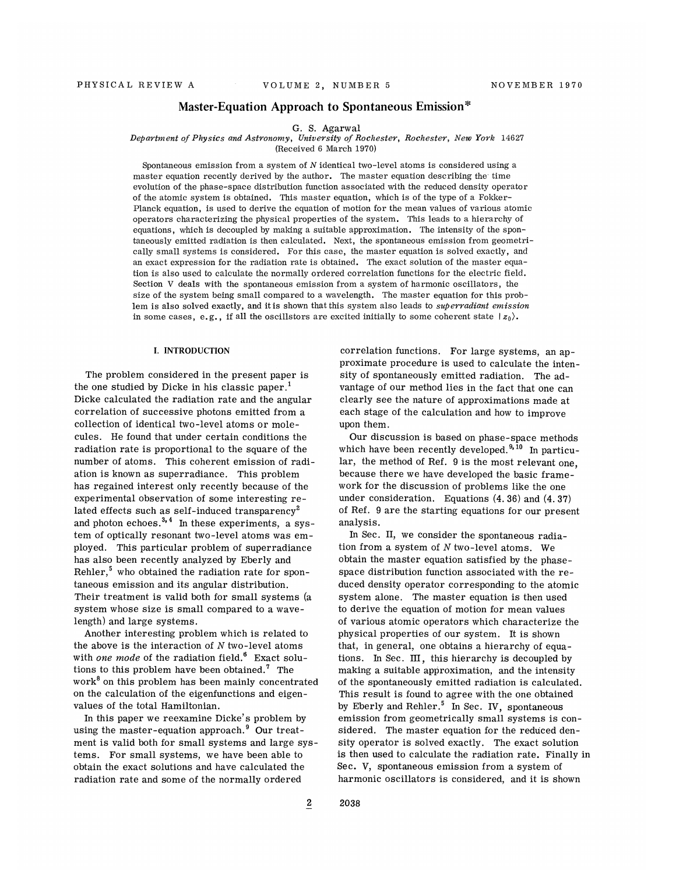## Master-Equation Approach to Spontaneous Emission\*

#### G. S. Agarwal

### Department of Physics and Astronomy, University of Rochester, Rochester, New York 14627

{Received 6 March 1970)

Spontaneous emission from a system of N identical two-level atoms is considered using a master equation recently derived by the author. The master equation describing the' time evolution of the phase-space distribution function associated with the reduced density operator of the atomic system is obtained. This master equation, which is of the type of a Fokker-Planck equation, is used to derive the equation of motion for the mean values of various atomic operators characterizing the physical properties of the system. This leads to a hierarchy of equations, which is decoupled by making a suitable approximation. The intensity of the spontaneously emitted radiation is then calculated. Next, the spontaneous emission from geometri cally sma11 systems is considered. For this case, the master equation is solved exactly, and an exact expression for the radiation rate is obtained. The exact solution of the master equation is also used to calculate the normally ordered correlation functions for the electric field. Section V deals with the spontaneous emission from a system of harmonic oscillators, the size of the system being small compared to a wavelength. The master equation for this problem is also solved exactly, and it is shown that this system also leads to superradiant emission in some cases, e.g., if all the oscillstors are excited initially to some coherent state  $|z_0\rangle$ .

#### I. INTRODUCTION

The problem considered in the present paper is the one studied by Dicke in his classic paper.<sup>1</sup> Dicke calculated the radiation rate and the angular correlation of successive photons emitted from a collection of identical two-level atoms or molecules. He found that under certain conditions the radiation rate is proportional to the square of the number of atoms. This coherent emission of radiation is known as superradiance. This problem has regained interest only recently because of the experimental observation of some interesting related effects such as self-induced transparency<sup>2</sup> and photon echoes. $3, 4$  In these experiments, a system of optically resonant two-level atoms was employed. This particular problem of superradiance has also been recently analyzed by Eberly and Rehler, $5$  who obtained the radiation rate for spontaneous emission and its angular distribution. Their treatment is valid both for small systems (a system whose size is small compared to a wavelength) and large systems.

Another interesting problem which is related to the above is the interaction of  $N$  two-level atoms with one mode of the radiation field.<sup>6</sup> Exact solutions to this problem have been obtained.<sup>7</sup> The work<sup>8</sup> on this problem has been mainly concentrated on the calculation of the eigenfunctions and eigenvalues of the total Hamiltonian.

In this paper we reexamine Dicke's problem by using the master-equation approach.<sup>9</sup> Our treatment is valid both for small systems and large systems. For small systems, we have been able to obtain the exact solutions and have calculated the radiation rate and some of the normally ordered

correlation functions. For large systems, an approximate procedure is used to calculate the intensity of spontaneously emitted radiation. The advantage of our method lies in the fact that one can clearly see the nature of approximations made at each stage of the calculation and how to improve upon them.

--- -------<br>Our discussion is based on phase-space method which have been recently developed.<sup>9,10</sup> In particu lar, the method of Ref. 9 is the most relevant one, because there we have developed the basic framework for the discussion of problems like the one under consideration. Equations (4. 36) and (4. 37) of Ref. 9 are the starting equations for our present analysis.

In Sec. II, we consider the spontaneous radiation from a system of  $N$  two-level atoms. We obtain the master equation satisfied by the phasespace distribution function associated with the reduced density operator corresponding to the atomic system alone. The master equation is then used to derive the equation of motion for mean values of various atomic operators which characterize the physical properties of our system. It is shown that, in general, one obtains a hierarchy of equations. In Sec. III, this hierarchy is decoupled by making a suitable approximation, and the intensity of the spontaneously emitted radiation is calculated. This result is found to agree with the one obtained by Eberly and Rehler.<sup>5</sup> In Sec. IV, spontaneous emission from geometrically small systems is considered. The master equation for the reduced density operator is solved exactly. The exact solution is then used to calculate the radiation rate. Finally in Sec. V, spontaneous emission from a system of harmonic oscillators is considered, and it is shown

 $\overline{2}$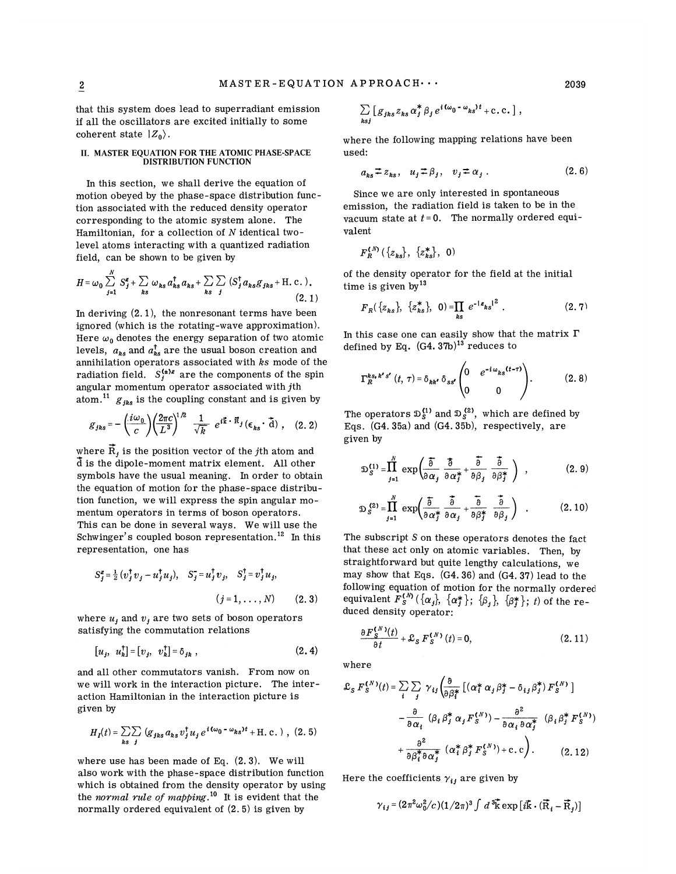$\boldsymbol{k}$ 

that this system does lead to superradiant emission if all the oscillators are excited initially to some coherent state  $|Z_0\rangle$ .

#### II. MASTER EQUATION FOR THE ATOMIC PHASE-SPACE DISTRIBUTION FUNCTION

In this section, we shall derive the equation of motion obeyed by the phase-space distribution function associated with the reduced density operator corresponding to the atomic system alone. The Hamiltonian, for a collection of N identical twolevel atoms interacting with a quantized radiation field, can be shown to be given by

$$
H = \omega_0 \sum_{j=1}^N S_j^g + \sum_{ks} \omega_{ks} a_{ks}^\dagger a_{ks} + \sum_{ks} \sum_j (S_j^\dagger a_{ks} S_{jks} + \text{H. c.}).
$$
\n(2.1)

In deriving (2. 1), the nonresonant terms have been ignored (which is the rotating-wave approximation). Here  $\omega_0$  denotes the energy separation of two atomic levels,  $a_{ks}$  and  $a_{ks}^{\dagger}$  are the usual boson creation and annihilation operators associated with ks mode of the radiation field.  $S_j^{(*)z}$  are the components of the spin angular momentum operator associated with *j*th atom.<sup>11</sup>  $g_{th}$  is the coupling constant and is give atom. $^{11}$   $g_{jks}$  is the coupling constant and is given by

$$
g_{jks} = -\left(\frac{i\omega_0}{c}\right) \left(\frac{2\pi c}{L^3}\right)^{1/2} \frac{1}{\sqrt{k}} e^{i\vec{k}\cdot\vec{R}_j} (\epsilon_{ks}\cdot\vec{a}) , (2,2)
$$

where  $\vec{R}_j$  is the position vector of the jth atom and d is the dipole-moment matrix element. All other symbols have the usual meaning. In order to obtain the equation of motion for the phase-space distribution function, we will express the spin angular momentum operators in terms of boson operators. This can be done in several ways. We will use the Schwinger's coupled boson representation.<sup>12</sup> In this representation, one has

$$
S_j^z = \frac{1}{2} (v_j^{\dagger} v_j - u_j^{\dagger} u_j), \quad S_j^z = u_j^{\dagger} v_j, \quad S_j^{\dagger} = v_j^{\dagger} u_j, (j = 1, ..., N)
$$
 (2. 3)

where  $u_i$  and  $v_j$  are two sets of boson operators satisfying the commutation relations

$$
[u_j, u_k^{\dagger}] = [v_j, v_k^{\dagger}] = \delta_{jk}, \qquad (2.4)
$$

and all other commutators vanish. From now on we will work in the interaction picture. The interaction Hamiltonian in the interaction picture is given by

$$
H_I(t) = \sum_{ks} \sum_j \left( g_{jks} a_{ks} v_j^{\dagger} u_j e^{i(\omega_0 - \omega_{ks})t} + \text{H.c.} \right), (2.5)
$$

where use has been made of Eq. (2. 3). We will also work with the phase-space distribution function which is obtained from the density operator by using the normal rule of mapping.<sup>10</sup> It is evident that the normally ordered equivalent of (2. 5) is given by

$$
\sum_{ksj} [g_{jks} z_{ks} \alpha_j^* \beta_j e^{i(\omega_0 - \omega_{ks})t} + c.c.] ,
$$

where the following mapping relations have been used:

$$
a_{ks} \stackrel{\pm}{\cdot} z_{ks}, \quad u_j \stackrel{\pm}{\cdot} \beta_j, \quad v_j \stackrel{\pm}{\cdot} \alpha_j \ . \tag{2.6}
$$

Since we are only interested in spontaneous emission, the radiation field is taken to be in the vacuum state at  $t = 0$ . The normally ordered equivalent

$$
F_R^{(N)}(\{z_{ks}\}, \{z_{ks}^*\}, 0)
$$

of the density operator for the field at the initial time is given by  $13$ 

$$
F_R({z_{ks}}), {z_{ks}^*}, 0) = \prod_{ks} e^{-1z_{ks}^2}.
$$
 (2.7)

In this case one can easily show that the matrix  $\Gamma$ defined by Eq.  $(G4.37b)^{13}$  reduces to

$$
\Gamma_R^{ks,\,k's'}(t,\,\tau) = \delta_{kk'} \,\delta_{ss'} \begin{pmatrix} 0 & e^{-i\,\omega_{ks}(t-\tau)} \\ 0 & 0 \end{pmatrix} . \tag{2.8}
$$

The operators  $\mathfrak{D}^{(1)}_{S}$  and  $\mathfrak{D}^{(2)}_{S}$ , which are defined by Eqs. (G4. 35a) and (G4. 35b), respectively, are given by

$$
\mathfrak{D}_{S}^{(1)} = \prod_{j=1}^{N} \exp\left(\frac{\overline{\delta}}{\partial \alpha_{j}} \frac{\overline{\delta}}{\partial \alpha_{j}^{*}} + \frac{\overline{\delta}}{\partial \beta_{j}} \frac{\overline{\delta}}{\partial \beta_{j}^{*}}\right) , \qquad (2.9)
$$

$$
\mathfrak{D}_{S}^{(2)} = \prod_{j=1}^{N} \exp\left(\frac{\overline{\delta}}{\partial \alpha_{j}^{*}} \frac{\overline{\delta}}{\partial \alpha_{j}} + \frac{\overline{\delta}}{\partial \beta_{j}^{*}} \frac{\overline{\delta}}{\partial \beta_{j}}\right) .
$$
 (2.10)

The subscript S on these operators denotes the fact that these act only on atomic variables. Then, by straightforward but quite lengthy calculations, we may show that Eqs. (G4. 36) and (G4. 37) lead to the following equation of motion for the normally ordered equivalent  $F_s^{(N)}(\{\alpha_j\}, \{\alpha_j^*\}; \{\beta_j\}, \{\beta_j^*\}; t)$  of the re-<br>duced density operator:

$$
\frac{\partial F_S^{(N)}(t)}{\partial t} + \mathcal{L}_S F_S^{(N)}(t) = 0, \qquad (2.11)
$$

where

$$
\mathcal{L}_{S} F_{S}^{(N)}(t) = \sum_{i} \sum_{j} \gamma_{ij} \left( \frac{\partial}{\partial \beta_{i}^{*}} \left[ (\alpha_{i}^{*} \alpha_{j} \beta_{j}^{*} - \delta_{ij} \beta_{j}^{*}) F_{S}^{(N)} \right] - \frac{\partial}{\partial \alpha_{i}} \left( \beta_{i} \beta_{j}^{*} \alpha_{j} F_{S}^{(N)} \right) - \frac{\partial^{2}}{\partial \alpha_{i} \partial \alpha_{j}^{*}} \left( \beta_{i} \beta_{j}^{*} F_{S}^{(N)} \right) + \frac{\partial^{2}}{\partial \beta_{i}^{*} \partial \alpha_{j}^{*}} \left( \alpha_{i}^{*} \beta_{j}^{*} F_{S}^{(N)} \right) + c.c \right). \tag{2.12}
$$

Here the coefficients  $\gamma_{ij}$  are given by

$$
\gamma_{ij} = (2\pi^2 \omega_0^2/c)(1/2\pi)^3 \int d^3\vec{k} \exp\left[i\vec{k}\cdot(\vec{R}_i - \vec{R}_j)\right]
$$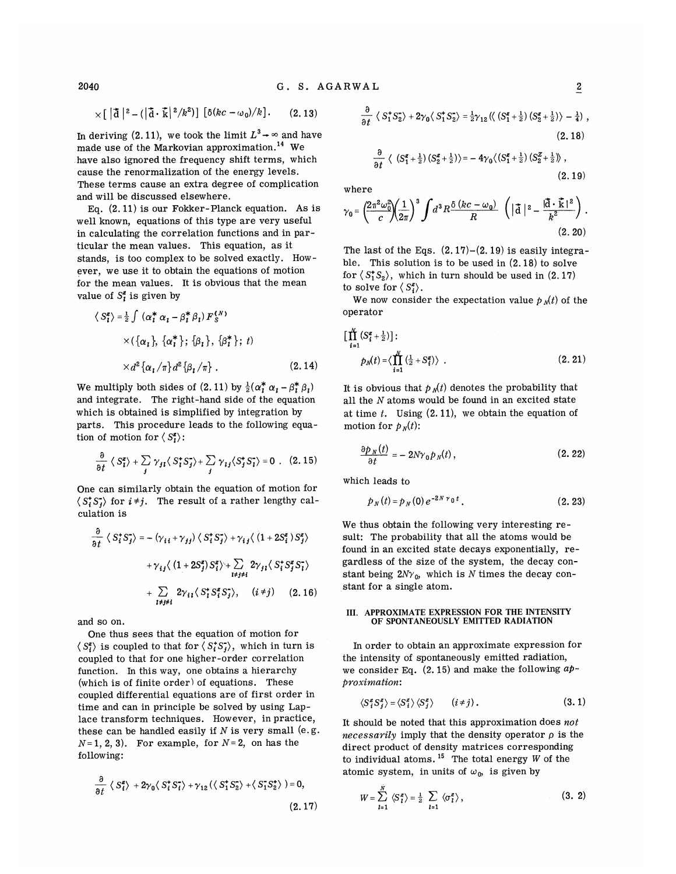$$
\times [\vert \mathbf{\tilde{d}} \vert^2 - (\vert \mathbf{\tilde{d}} \cdot \mathbf{\tilde{k}} \vert^2 / k^2)] [\delta (kc - \omega_0)/k]. \qquad (2.13)
$$

In deriving (2.11), we took the limit  $L^3 \rightarrow \infty$  and have<br>made use of the Markovian approximation.<sup>14</sup> We made use of the Markovian approximation. We have also ignored the frequency shift terms, which cause the renormalization of the energy levels. These terms cause an extra degree of complication and will be discussed elsewhere.

Eq. (2. 11) is our Fokker-Planck equation. As is well known, equations of this type are very useful in calculating the correlation functions and in particular the mean values. This equation, as it stands, is too complex to be solved exactly. However, me use it to obtain the equations of motion for the mean values. It is obvious that the mean value of  $S_i^z$  is given by

$$
\langle S_{i}^{z} \rangle = \frac{1}{2} \int (\alpha_{i}^{*} \alpha_{i} - \beta_{i}^{*} \beta_{i}) F_{S}^{(N)}
$$
  
 
$$
\times (\{\alpha_{i}\}, {\{\alpha_{i}^{*}\}; {\{\beta_{i}\}}, {\{\beta_{i}^{*}\}}; t)
$$
  
 
$$
\times d^{2} {\{\alpha_{i}/\pi\}} d^{2} {\{\beta_{i}/\pi\}}.
$$
 (2.14)

We multiply both sides of  $(2.11)$  by  $\frac{1}{2}(\alpha_1^* \alpha_1 - \beta_1^* \beta_1)$ and integrate. The right-hand side of the equation which is obtained is simplified by integration by parts. This procedure leads to the following equation of motion for  $\langle S_i^z \rangle$ :

$$
\frac{\partial}{\partial t} \langle S_i^z \rangle + \sum_j \gamma_{j1} \langle S_i^* S_j^* \rangle + \sum_j \gamma_{ij} \langle S_j^* S_j^* \rangle = 0 \quad . \quad (2.15)
$$

One can similarly obtain the equation of motion for  $\langle S_i^*S_i^* \rangle$  for  $i \neq j$ . The result of a rather lengthy calculation is

$$
\frac{\partial}{\partial t} \langle S_i^* S_j^* \rangle = -\langle \gamma_{i i} + \gamma_{j j} \rangle \langle S_i^* S_j^* \rangle + \gamma_{i j} \langle (1 + 2S_i^z) S_j^z \rangle
$$

$$
+ \gamma_{i j} \langle (1 + 2S_j^z) S_i^z \rangle + \sum_{\substack{i \neq j \neq i}} 2\gamma_{j i} \langle S_i^* S_j^z S_j^* \rangle
$$

$$
+ \sum_{\substack{i \neq j \neq i}} 2\gamma_{i 1} \langle S_i^* S_i^z S_j^* \rangle, \quad (i \neq j) \quad (2.16)
$$

and so on.

One thus sees that the equation of motion for  $\langle S_i^z \rangle$  is coupled to that for  $\langle S_i^* S_j^* \rangle$ , which in turn is coupled to that for one higher-order correlation function. In this way, one obtains a hierarchy (which is of finite order) of equations. These coupled differential equations are of first order in time and can in principle be solved by using Laplace transform techniques. However, in practice, these can be handled easily if  $N$  is very small (e.g.  $N=1, 2, 3$ ). For example, for  $N=2$ , on has the following:

$$
\frac{\partial}{\partial t} \langle S_1^z \rangle + 2\gamma_0 \langle S_1^* S_1^* \rangle + \gamma_{12} (\langle S_1^* S_2^* \rangle + \langle S_1^* S_2^* \rangle) = 0,
$$
\n(2.17)

$$
\frac{\partial}{\partial t} \langle S_1^* S_2^* \rangle + 2\gamma_0 \langle S_1^* S_2^* \rangle = \frac{1}{2}\gamma_{12} \langle \langle (S_1^z + \frac{1}{2}) (S_2^z + \frac{1}{2}) \rangle - \frac{1}{4} \rangle ,
$$
\n(2.18)

$$
\frac{\partial}{\partial t} \langle (S_1^z + \frac{1}{2}) (S_2^z + \frac{1}{2}) \rangle = -4\gamma_0 \langle (S_1^z + \frac{1}{2}) (S_2^z + \frac{1}{2}) \rangle ,
$$
\n(2.19)

where

where  

$$
\gamma_0 = \left(\frac{2\pi^2 \omega_0^2}{c}\right)\left(\frac{1}{2\pi}\right)^3 \int d^3R \frac{\delta (kc - \omega_0)}{R} \left(|\mathbf{\vec{d}}|^2 - \frac{|\mathbf{\vec{d}} \cdot \mathbf{\vec{k}}|^2}{k^2}\right).
$$
(2.20)

The last of the Eqs.  $(2.17)-(2.19)$  is easily integrable. This solution is to be used in (2. 18) to solve for  $\langle S_1^*S_2 \rangle$ , which in turn should be used in (2.17) to solve for  $\langle S_i^g \rangle$ .

We now consider the expectation value  $p<sub>N</sub>(t)$  of the operator

$$
\left[\prod_{i=1}^{N} \left(S_i^z + \frac{1}{2}\right)\right] : (2.14) \t\t pN(t) = \left\langle \prod_{i=1}^{N} \left(\frac{1}{2} + S_i^z\right)\right\rangle .
$$
\n(2.21)

It is obvious that  $p_N(t)$  denotes the probability that all the  $N$  atoms would be found in an excited state at time  $t$ . Using  $(2.11)$ , we obtain the equation of motion for  $p_N(t)$ :

$$
\frac{\partial p_N(t)}{\partial t} = -2N\gamma_0 p_N(t),\qquad(2.22)
$$

which leads to

$$
p_N(t) = p_N(0) e^{-2N \gamma_0 t}.
$$
 (2.23)

We thus obtain the following very interesting result: The probability that all the atoms would be found in an excited state decays exponentially, regardless of the size of the system, the decay constant being  $2Ny_0$ , which is N times the decay constant for a single atom.

#### III. APPROXIMATE EXPRESSION FOR THE INTENSITY OF SPONTANEOUSLY EMITTED RADIATION

In order to obtain an approximate expression for the intensity of spontaneously emitted radiation, we consider Eq.  $(2.15)$  and make the following  $ap$ proximation:

$$
\langle S_i^z S_j^z \rangle = \langle S_i^z \rangle \langle S_j^z \rangle \qquad (i \neq j). \qquad (3.1)
$$

It should be noted that this approximation does  $not$ necessarily imply that the density operator  $\rho$  is the direct product of density matrices corresponding to individual atoms.<sup>15</sup> The total energy  $W$  of the atomic system, in units of  $\omega_0$ , is given by

$$
W = \sum_{l=1}^{N} \langle S_l^z \rangle = \frac{1}{2} \sum_{l=1} \langle \sigma_l^z \rangle, \qquad (3. 2)
$$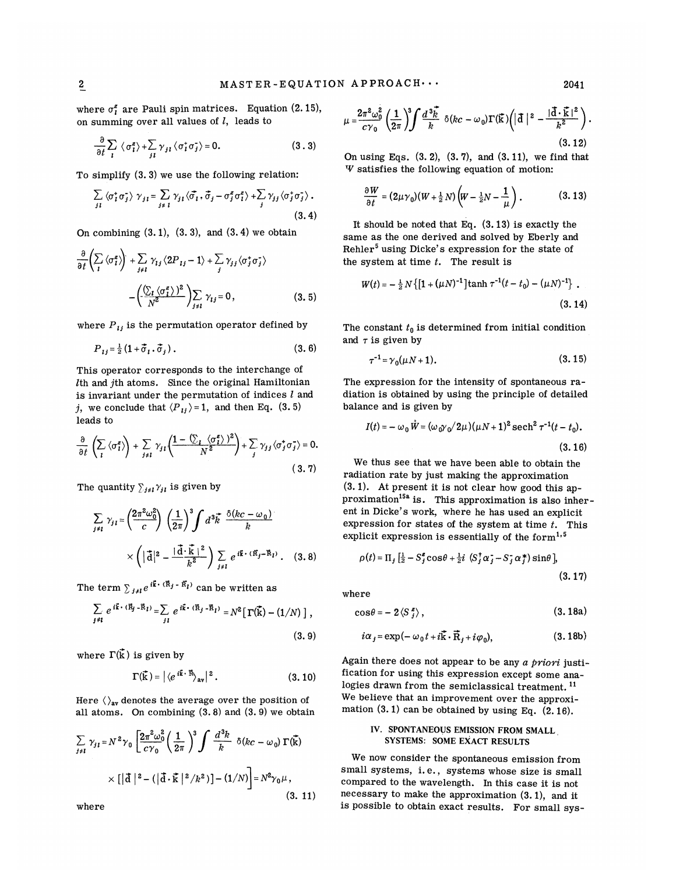where  $\sigma_i^z$  are Pauli spin matrices. Equation (2.15), on summing over all values of  $l$ , leads to

$$
\frac{\partial}{\partial t} \sum_{i} \langle \sigma_{i}^{z} \rangle + \sum_{j} \gamma_{j} \langle \sigma_{i}^{+} \sigma_{j}^{-} \rangle = 0.
$$
 (3.3)

To simplify (3. 3) we use the following relation:

$$
\sum_{j\,l} \langle \sigma_i^* \sigma_j^* \rangle \gamma_{j\,l} = \sum_{j \neq l} \gamma_{j\,l} \langle \vec{\sigma_i}, \vec{\sigma_j} - \sigma_j^z \sigma_l^z \rangle + \sum_j \gamma_{j\,j} \langle \sigma_j^* \sigma_j^* \rangle . \tag{3.4}
$$

On combining  $(3.1)$ ,  $(3.3)$ , and  $(3.4)$  we obtain

$$
\frac{\partial}{\partial t} \left( \sum_{i} \langle \sigma_{i}^z \rangle \right) + \sum_{j \neq i} \gamma_{ij} \langle 2P_{ij} - 1 \rangle + \sum_{j} \gamma_{jj} \langle \sigma_{j}^* \sigma_{j}^* \rangle
$$

$$
- \left( \frac{\langle \sum_{i} \langle \sigma_{i}^z \rangle \rangle^2}{N^2} \right) \sum_{j \neq i} \gamma_{ij} = 0, \qquad (3.5)
$$

where  $P_{ij}$  is the permutation operator defined by

$$
P_{ij} = \frac{1}{2} (1 + \vec{\sigma}_i \cdot \vec{\sigma}_j). \tag{3.6}
$$

This operator corresponds to the interchange of  $l$ th and  $j$ th atoms. Since the original Hamiltonian is invariant under the permutation of indices  $l$  and j, we conclude that  $\langle P_{ij}\rangle = 1$ , and then Eq. (3.5) leads to

$$
\frac{\partial}{\partial t} \left( \sum_{i} \langle \sigma_{i}^{z} \rangle \right) + \sum_{j \neq i} \gamma_{j1} \left( \frac{1 - \langle \sum_{i} \langle \sigma_{i}^{z} \rangle \rangle^{2}}{N^{2}} \right) + \sum_{j} \gamma_{j1} \langle \sigma_{j}^{+} \sigma_{j}^{-} \rangle = 0.
$$
\n(3.7)

The quantity  $\sum_{j\neq l} \gamma_{jl}$  is given by

$$
\sum_{i \neq l} \gamma_{j l} = \left(\frac{2\pi^2 \omega_0^2}{c}\right) \left(\frac{1}{2\pi}\right)^3 \int d^3 \vec{k} \frac{\delta(kc - \omega_0)}{k} \times \left(\left|\vec{a}\right|^2 - \frac{|\vec{a} \cdot \vec{k}|^2}{k^2}\right) \sum_{j \neq l} e^{i\vec{k} \cdot (\vec{R}_j - \vec{R}_l)}.
$$
 (3.8)

The term  $\sum_{j \neq l} e^{i \vec{k} \cdot (\vec{R}_j - \vec{R}_l)}$  can be written as

$$
\sum_{j\neq i} e^{i\vec{k}\cdot(\vec{R}_j-\vec{R}_i)} = \sum_{j\,i} e^{i\vec{k}\cdot(\vec{R}_j-\vec{R}_i)} = N^2 \left[ \Gamma(\vec{k}) - (1/N) \right],
$$

 $(3.9)$ 

where  $\Gamma(\vec{k})$  is given by

$$
\Gamma(\vec{k}) = |\langle e^{i\vec{k}\cdot\vec{R}} \rangle_{\text{av}}|^2. \tag{3.10}
$$

Here  $\langle \rangle_{av}$  denotes the average over the position of all atoms. On combining  $(3.8)$  and  $(3.9)$  we obtain

$$
\sum_{j \neq l} \gamma_{jl} = N^2 \gamma_0 \left[ \frac{2\pi^2 \omega_0^2}{c \gamma_0} \left( \frac{1}{2\pi} \right)^3 \int \frac{d^3 k}{k} \delta(kc - \omega_0) \Gamma(\vec{k}) \right]
$$

$$
\times \left[ |\vec{d}|^2 - (|\vec{d} \cdot \vec{k}|^2 / k^2) \right] - (1/N) \Big] = N^2 \gamma_0 \mu,
$$
(3. 11)

where

$$
\mu = \frac{2\pi^2 \omega_0^2}{c\gamma_0} \left(\frac{1}{2\pi}\right)^3 \int \frac{d^3 \vec{k}}{k} \delta(kc - \omega_0) \Gamma(\vec{k}) \left(|\vec{d}|^2 - \frac{|\vec{d}\cdot\vec{k}|^2}{k^2}\right)
$$
\n(3.12)

On using Eqs.  $(3. 2)$ ,  $(3. 7)$ , and  $(3. 11)$ , we find that W satisfies the following equation of motion:

$$
\frac{\partial W}{\partial t} = (2\mu \gamma_0)(W + \frac{1}{2}N)\left(W - \frac{1}{2}N - \frac{1}{\mu}\right). \tag{3.13}
$$

It should be noted that Eq.  $(3.13)$  is exactly the same as the one derived and solved by Eberly and Rehler<sup>5</sup> using Dicke's expression for the state of the system at time  $t$ . The result is

$$
W(t) = -\frac{1}{2}N\left\{[1 + (\mu N)^{-1}]\tanh \tau^{-1}(t - t_0) - (\mu N)^{-1}\right\}.
$$
\n(3.14)

The constant  $t_0$  is determined from initial condition and  $\tau$  is given by

$$
\tau^{-1} = \gamma_0(\mu N + 1). \tag{3.15}
$$

The expression for the intensity of spontaneous radiation is obtained by using the principle of detailed balance and is given by

$$
I(t) = -\omega_0 \dot{W} = (\omega_0 \gamma_0 / 2\mu) (\mu N + 1)^2 \operatorname{sech}^2 \tau^{-1} (t - t_0).
$$
\n(3.16)

We thus see that we have been able to obtain the radiation rate by just making the approximation (S.1). At present it is not clear how good this approximation<sup>15a</sup> is. This approximation is also inherent in Dicke's work, where he has used an explicit expression for states of the system at time  $t$ . This explicit expression is essentially of the form $1.5$ 

$$
\rho(t) = \Pi_j \left[ \frac{1}{2} - S_j^z \cos \theta + \frac{1}{2} i \left( S_j^{\dagger} \alpha_j - S_j^{\dagger} \alpha_j^* \right) \sin \theta \right],
$$
\n(3. 17)

where

$$
\cos\theta = -2\left\langle S\right\rangle_{j}^{z}\,,\tag{3.18a}
$$

$$
i\alpha_j = \exp(-\omega_0 t + i\vec{k} \cdot \vec{R}_j + i\varphi_0), \qquad (3.18b)
$$

Again there does not appear to be any  $a$  priori justification for using this expression except some ana-<br>logies drawn from the semiclassical treatment.<sup>11</sup> logies drawn from the semiclassical treatment.<sup>11</sup> We believe that an improvement over the approximation  $(3.1)$  can be obtained by using Eq.  $(2.16)$ .

## IV. SPONTANEOUS EMISSION FROM SMALL, SYSTEMS: SOME EXACT RESULTS

We now consider the spontaneous emission from small systems, i.e., systems whose size is small compared to the wavelength. In this case it is not necessary to make the approximation (S.1), and it is possible to obtain exact results. For small sys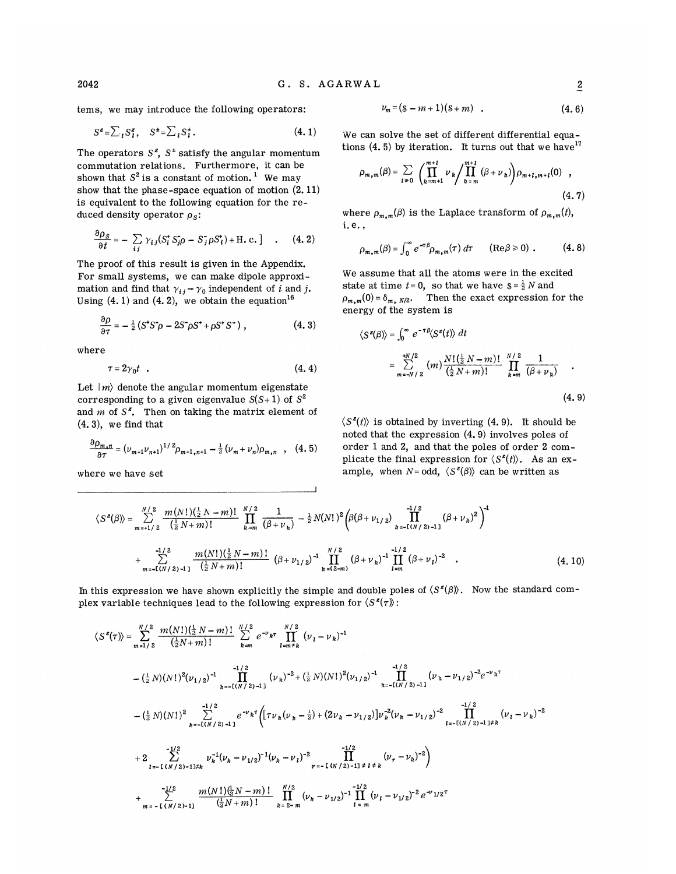tems, we may introduce the following operators:  $\frac{1}{\sqrt{S}}$ 

$$
S^z = \sum_i S_i^z, \quad S^{\pm} = \sum_i S_i^{\pm}.
$$
 (4.1)

The operators  $S^z$ ,  $S^z$  satisfy the angular momentum commutation relations. Furthermore, it can be shown that  $S^2$  is a constant of motion.<sup>1</sup> We may show that the phase-space equation of motion (2. 11) is equivalent to the following equation for the reduced density operator  $\rho_s$ :

$$
\frac{\partial \rho_S}{\partial t} = -\sum_{ij} \gamma_{ij} (S_i^* S_j^* \rho - S_j^* \rho S_i^*) + \text{H.c.} \quad . \quad (4.2)
$$

The proof of this result is given in the Appendix. For small systems, we can make dipole approximation and find that  $\gamma_{ij} \rightarrow \gamma_0$  independent of *i* and *j*. Using  $(4.1)$  and  $(4.2)$ , we obtain the equation<sup>16</sup>

$$
\frac{\partial \rho}{\partial \tau} = -\frac{1}{2} \left( S^* S^* \rho - 2S^* \rho S^* + \rho S^* S^- \right) , \qquad (4.3)
$$

where

$$
\tau = 2\gamma_0 t \quad . \tag{4.4}
$$

Let  $|m\rangle$  denote the angular momentum eigenstate corresponding to a given eigenvalue  $S(S+1)$  of  $S^2$ and  $m$  of  $S^z$ . Then on taking the matrix element of (4. 3), we find that

$$
\frac{\partial \rho_{m,n}}{\partial \tau} = (\nu_{m+1} \nu_{n+1})^{1/2} \rho_{m+1,n+1} - \tfrac{1}{2} (\nu_m + \nu_n) \rho_{m,n} \quad , \quad (4.5)
$$

where we have set

$$
V_m = (s - m + 1)(s + m) \quad . \tag{4.6}
$$

We can solve the set of different differential equations  $(4.5)$  by iteration. It turns out that we have  $17$ 

$$
\rho_{m,m}(\beta) = \sum_{l \ge 0} \left( \prod_{k=m+1}^{m+l} \nu_k / \prod_{k=m}^{m+l} (\beta + \nu_k) \right) \rho_{m+l,m+l}(0) , \qquad (4.7)
$$

where  $\rho_{m,m}(\beta)$  is the Laplace transform of  $\rho_{m,m}(t)$ , i. e. ,

$$
\rho_{m,m}(\beta) = \int_0^\infty e^{-\tau \beta} \rho_{m,m}(\tau) d\tau \qquad (\text{Re}\beta \ge 0) \ . \tag{4.8}
$$

We assume that all the atoms were in the excited state at time  $t=0$ , so that we have  $s=\frac{1}{2}N$  and  $\rho_{m,m}(0)=\delta_{m, N/2}$ . Then the exact expression for the energy of the system is

$$
\langle S^z(\beta) \rangle = \int_0^\infty e^{-\tau \beta} \langle S^z(t) \rangle dt
$$
  
= 
$$
\sum_{m=-N/2}^{+N/2} (m) \frac{N! (\frac{1}{2} N - m)!}{(\frac{1}{2} N + m)!} \prod_{k=m}^{N/2} \frac{1}{(\beta + \nu_k)}
$$
 (4.9)

 $\langle S^z(t) \rangle$  is obtained by inverting (4.9). It should be noted that the expression (4. 9) involves poles of order 1 and 2, and that the poles of order 2 complicate the final expression for  $\langle S^z(t) \rangle$ . As an example, when  $N = \text{odd}, \langle S^z(\beta) \rangle$  can be written as

$$
\langle S^{z}(\beta) \rangle = \sum_{m=+1/2}^{N/2} \frac{m(N!)\left(\frac{1}{2}N - m\right)!}{\left(\frac{1}{2}N + m\right)!} \prod_{k=m}^{N/2} \frac{1}{(\beta + \nu_k)} - \frac{1}{2}N(N!)^2 \left(\beta(\beta + \nu_{1/2}) \prod_{k=-1(N/2)-1}^{-1/2} (\beta + \nu_k)^2\right)^{-1}
$$
  
+ 
$$
\sum_{m=-1(N/2)-1}^{-1/2} \frac{m(N!)\left(\frac{1}{2}N - m\right)!}{\left(\frac{1}{2}N + m\right)!} (\beta + \nu_{1/2})^{-1} \prod_{k=(2-m)}^{N/2} (\beta + \nu_k)^{-1} \prod_{l=m}^{-1/2} (\beta + \nu_l)^{-2} . \tag{4.10}
$$

In this expression we have shown explicitly the simple and double poles of  $\langle S^z(\beta) \rangle$ . Now the standard complex variable techniques lead to the following expression for  $\langle S^z(\tau) \rangle$ :

$$
\langle S^{z}(\tau) \rangle = \sum_{m=1/2}^{N/2} \frac{m(N!) (\frac{1}{2} N - m)!}{(\frac{1}{2} N + m)!} \sum_{k=m}^{N/2} e^{-\nu} \kappa^{\tau} \prod_{l=m \neq k}^{N/2} (\nu_{l} - \nu_{k})^{-1}
$$
  
 
$$
- (\frac{1}{2} N) (N!)^{2} (\nu_{1/2})^{-1} \prod_{k=-1(N/2)-1,1}^{N/2} (\nu_{k})^{-2} + (\frac{1}{2} N) (N!)^{2} (\nu_{1/2})^{-1} \prod_{k=-(N/2)-1,1}^{N/2} (\nu_{k} - \nu_{1/2})^{-2} e^{-\nu} \kappa^{\tau}
$$
  
 
$$
- (\frac{1}{2} N) (N!)^{2} \sum_{k=-1(N/2)-1,1}^{N/2} e^{-\nu} \kappa^{\tau} \Big( [\tau \nu_{k} (\nu_{k} - \frac{1}{2}) + (2 \nu_{k} - \nu_{1/2})] \nu_{k}^{-2} (\nu_{k} - \nu_{1/2})^{-2} \prod_{l=-(N/2)-1 \neq k}^{N/2} (\nu_{l} - \nu_{k})^{-2}
$$
  
 
$$
+ 2 \sum_{l=-(N/2)-1 \neq k}^{N/2} \nu_{k}^{-1} (\nu_{k} - \nu_{1/2})^{-1} (\nu_{k} - \nu_{l})^{-2} \prod_{r=-1(N/2)-1 \neq l \neq k}^{N/2} (\nu_{r} - \nu_{k})^{-2} \Big)
$$
  
 
$$
+ \sum_{m=-1(N/2)+1}^{N/2} \frac{m(N!) (\frac{1}{2} N - m)!}{(\frac{1}{2} N + m)!} \prod_{k=2-m}^{N/2} (\nu_{k} - \nu_{1/2})^{-1} \prod_{l=m}^{N/2} (\nu_{l} - \nu_{1/2})^{-2} e^{-\nu_{1/2} \tau}
$$

2042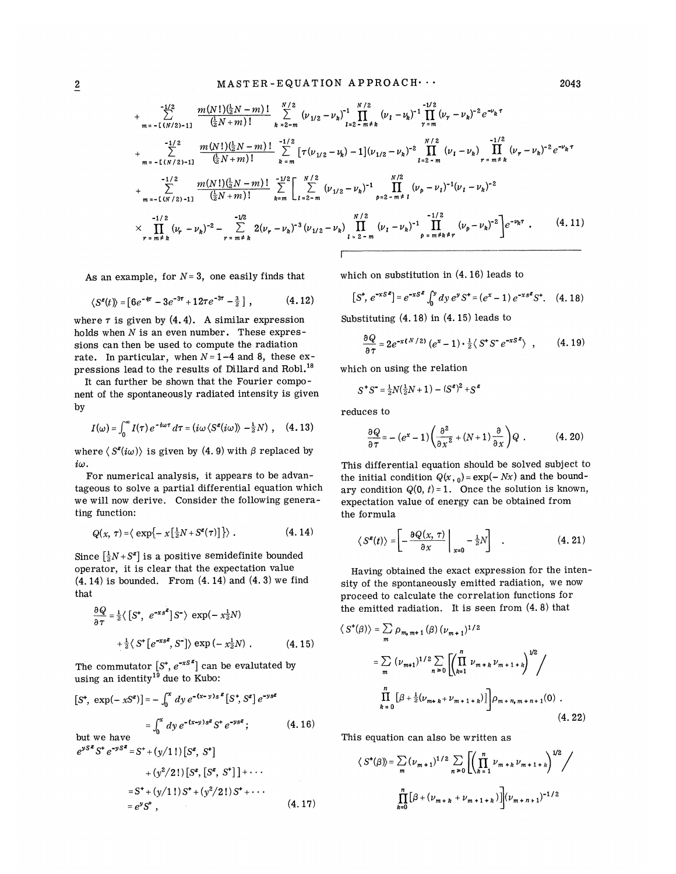$$
+\sum_{m=-1}^{-1/2} \frac{m(N!) (\frac{1}{2}N-m)!}{(\frac{1}{2}N+m)!} \sum_{k=2-m}^{N/2} (\nu_{1/2} - \nu_k)^{-1} \prod_{r=2-m+k}^{N/2} (\nu_r - \nu_k)^{-1} e^{-\nu_k \tau} + \sum_{m=-1}^{-1/2} \frac{m(N!) (\frac{1}{2}N-m)!}{(\frac{1}{2}N+m)!} \sum_{k=m}^{-1/2} [\tau(\nu_{1/2} - \nu_k) - 1] (\nu_{1/2} - \nu_k)^{-2} \prod_{l=2-m}^{N/2} (\nu_l - \nu_k) \prod_{r=m+k}^{-1/2} (\nu_r - \nu_k)^{-2} e^{-\nu_k \tau} + \sum_{m=-1}^{-1/2} \frac{m(N!) (\frac{1}{2}N-m)!}{(\frac{1}{2}N+m)!} \sum_{k=m}^{-1/2} \left[ \sum_{l=2-m}^{N/2} (\nu_{1/2} - \nu_k)^{-1} \prod_{p=2-m+1}^{N/2} (\nu_p - \nu_l)^{-1} (\nu_l - \nu_k)^{-2} \right. + \sum_{m=-1}^{-1/2} \frac{m(N!) (\frac{1}{2}N-m)!}{(\frac{1}{2}N+m)!} \sum_{k=m}^{-1/2} \left[ \sum_{l=2-m}^{N/2} (\nu_{1/2} - \nu_k)^{-1} \prod_{p=2-m+1}^{N/2} (\nu_p - \nu_l)^{-1} (\nu_l - \nu_k)^{-2} \right. + \prod_{r=m+k}^{-1/2} (\nu_r - \nu_k)^{-2} - \sum_{r=m+k}^{-1/2} 2(\nu_r - \nu_k)^{-3} (\nu_{1/2} - \nu_k) \prod_{l=2-m}^{N/2} (\nu_l - \nu_k)^{-1} \prod_{p=m+k+r}^{-1/2} (\nu_p - \nu_k)^{-2} e^{-\nu_k \tau} . \tag{4.11}
$$

As an example, for  $N=3$ , one easily finds that which on substitution in (4.16) leads to

$$
\langle S^{\ell}(t) \rangle = \left[ 6e^{-4\tau} - 3e^{-3\tau} + 12\tau e^{-3\tau} - \frac{3}{2} \right] , \qquad (4.12)
$$

where  $\tau$  is given by (4.4). A similar expression holds when  $N$  is an even number. These expressions can then be used to compute the radiation rate. In particular, when  $N=1-4$  and 8, these ex-<br>pressions lead to the results of Dillard and Robl.<sup>18</sup> pressions lead to the results of Dillard and Robl.

It can further be shown that the Fourier component of the spontaneously radiated intensity is given by

$$
I(\omega) = \int_0^\infty I(\tau) e^{-i\omega \tau} d\tau = (i\omega \langle S^z(i\omega) \rangle - \frac{1}{2}N), \quad (4.13)
$$

where  $\langle S^z(i\omega)\rangle$  is given by (4.9) with  $\beta$  replaced by  $i\omega$ .

For numerical analysis, it appears to be advantageous to solve a partial differential equation which we will now derive. Consider the following generating function:

$$
Q(x, \tau) = \langle \exp\{-\; x\left[\tfrac{1}{2}N + S^z(\tau)\right] \} \rangle \; . \tag{4.14}
$$

Since  $\left[\frac{1}{2}N+S^{\textbf{\textit{z}}}\right]$  is a positive semidefinite bounde operator, it is clear that the expectation value  $(4. 14)$  is bounded. From  $(4. 14)$  and  $(4. 3)$  we find that

$$
\frac{\partial Q}{\partial \tau} = \frac{1}{2} \langle \left[ S^{\dagger}, e^{-xs^2} \right] S^{\dagger} \rangle \exp(-x_2^{\dagger} N)
$$

$$
+ \frac{1}{2} \langle S^{\dagger} \left[ e^{-xs^2}, S^{\dagger} \right] \rangle \exp(-x_2^{\dagger} N) . \tag{4.15}
$$

The commutator  $[S^*, e^{-xs^2}]$  can be evalutated by using an identity<sup>19</sup> due to Kubo:

$$
[S^*, \exp(-xS^z)] = -\int_0^x dy \, e^{-(x-y)s^z} [S^*, S^z] \, e^{-ys^z}
$$
  
= 
$$
\int_0^x dy \, e^{-(x-y)s^z} S^* \, e^{-ys^z}; \qquad (4.16)
$$
  
but we have  

$$
e^{ys^z} S^* \, e^{-yS^z} = S^+ + (y/1!) [S^z, S^*]
$$

$$
S^{35} S^{36} = S^{4} + (y/1!) [S^{2}, S^{4}] + (y^{2}/2!) [S^{2}, [S^{2}, S^{4}]] + \cdots
$$
  
\n
$$
= S^{4} + (y/1!) S^{4} + (y^{2}/2!) S^{4} + \cdots
$$
  
\n
$$
= e^{y} S^{4} , \qquad (4.17)
$$
  
\n
$$
S^{4}(\beta) = \sum_{m=0}^{n} S^{4} (S^{4} - S^{4})
$$
  
\n
$$
= e^{y} S^{4} , \qquad (4.18)
$$

$$
[S^*, e^{-xS^z}] = e^{-xS^z} \int_0^y dy \, e^y S^+ = (e^x - 1) \, e^{-xS^z} S^+.
$$
 (4.18)

Substituting (4. 18) in (4. 15) leads to

$$
\frac{\partial Q}{\partial \tau} = 2e^{-x(N/2)}\left(e^x - 1\right) \cdot \frac{1}{2}\left\langle S^*S^-e^{-xS^2}\right\rangle \quad , \tag{4.19}
$$

which on using the relation

$$
S^*S^* = \frac{1}{2}N(\frac{1}{2}N+1) - (S^z)^2 + S^z
$$

reduces to

es to  
\n
$$
\frac{\partial Q}{\partial \tau} = -(e^x - 1) \left( \frac{\partial^2}{\partial x^2} + (N+1) \frac{\partial}{\partial x} \right) Q .
$$
\n(4. 20)

This differential equation should be solved subject to the initial condition  $Q(x, 0) = \exp(-Nx)$  and the boundary condition  $Q(0, t) = 1$ . Once the solution is known, expectation value of energy can be obtained from the formula

$$
\langle S^{z}(t) \rangle = \left[ -\frac{\partial Q(x,\,\tau)}{\partial x} \bigg|_{x=0} - \frac{1}{2}N \right] \quad . \tag{4.21}
$$

Having obtained the exact expression for the intensity of the spontaneously emitted radiation, we now proceed to calculate the correlation functions for the emitted radiation. It is seen from (4. 8) that

$$
\langle S^*(\beta) \rangle = \sum_m \rho_{m_m m+1}(\beta) (\nu_{m+1})^{1/2}
$$
  
= 
$$
\sum_m (\nu_{m+1})^{1/2} \sum_{n \ge 0} \left[ \left( \prod_{k=1}^n \nu_{m+k} \nu_{m+1+k} \right)^{1/2} \right]
$$
  

$$
\prod_{k=0}^n [\beta + \frac{1}{2} (\nu_{m+k} + \nu_{m+1+k})] \rho_{m+n_m + n+1}(0) . \tag{4.22}
$$

This equation can also be written as

$$
\langle S^{\dagger}(\beta) \rangle = \sum_{m} (\nu_{m+1})^{1/2} \sum_{n \ge 0} \left[ \left( \prod_{k=1}^{n} \nu_{m+k} \nu_{m+1+k} \right)^{1/2} \right]
$$

$$
\prod_{k=0}^{n} [\beta + (\nu_{m+k} + \nu_{m+1+k})] (\nu_{m+n+1})^{-1/2}
$$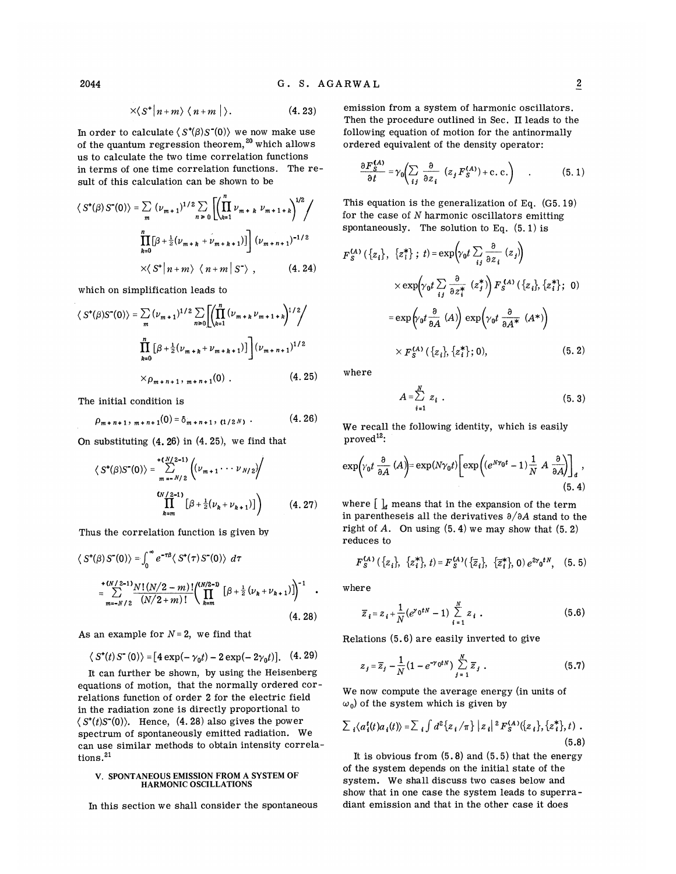$$
\times \langle S^* | n+m \rangle \langle n+m | \rangle. \tag{4.23}
$$

In order to calculate  $\langle S^*(\beta)S^*(0)\rangle$  we now make use of the quantum regression theorem,  $20$  which allows us to calculate the two time correlation functions in terms of one time correlation functions. The result of this calculation can be shown to be

$$
\langle S^{\dagger}(\beta) S^{\dagger}(0) \rangle = \sum_{m} (\nu_{m+1})^{1/2} \sum_{n \ge 0} \left[ \left( \prod_{k=1}^{n} \nu_{m+k} \nu_{m+1+k} \right)^{1/2} \right]
$$

$$
\prod_{k=0}^{n} [\beta + \frac{1}{2} (\nu_{m+k} + \nu_{m+k+1})] \right] (\nu_{m+n+1})^{-1/2}
$$

$$
\times \langle S^{\dagger} | n+m \rangle \langle n+m | S^{\dagger} \rangle, \qquad (4.24)
$$

which on simplification leads to

$$
\langle S^{\dagger}(\beta)S^{\dagger}(0)\rangle = \sum_{m} (\nu_{m+1})^{1/2} \sum_{n\geq 0} \left[ \left( \prod_{k=1}^{n} (\nu_{m+k} \nu_{m+1+k})^{1/2} \right) \right]
$$

$$
\prod_{k=0}^{n} [\beta + \frac{1}{2} (\nu_{m+k} + \nu_{m+k+1})] \left( \nu_{m+n+1} \right)^{1/2}
$$

$$
\times \rho_{m+n+1, m+n+1}(0) . \tag{4.25}
$$

The initial condition is

$$
\rho_{m+n+1}, \, \frac{m+n+1}{0} = \delta_{m+n+1}, \, \frac{1}{2N}, \, \ldots \qquad (4.26)
$$

On substituting (4. 26) in (4. 25), we find that

$$
\langle S^{\bullet}(\beta)S^{\bullet}(0)\rangle = \sum_{m=-N/2}^{+\binom{N}{2}-1} \left( (\nu_{m+1}\cdots\nu_{N/2}) / \left( \nu_{m+1}\cdots\nu_{N/2} \right) \right)
$$
  

$$
\prod_{k=m}^{(N/2-1)} \left[ \beta + \frac{1}{2} (\nu_k + \nu_{k+1}) \right] \right) \qquad (4.27)
$$

Thus the correlation function is given by

$$
\langle S^{\dagger}(\beta) S^{\dagger}(0) \rangle = \int_0^{\infty} e^{-\tau \beta} \langle S^{\dagger}(\tau) S^{\dagger}(0) \rangle d\tau
$$
  
\n
$$
= \sum_{m=-N/2}^{+ (N/2-1)} \frac{N! (N/2-m)!}{(N/2+m)!} \left( \prod_{k=m}^{(N/2-1)} [\beta + \frac{1}{2} (\nu_k + \nu_{k+1})] \right)^{-1}
$$
  
\n(4. 28)

As an example for  $N = 2$ , we find that

$$
\langle S^*(t)S^-(0)\rangle = [4 \exp(-\gamma_0 t) - 2 \exp(-2\gamma_0 t)].
$$
 (4.29)

It can further be shown, by using the Heisenberg equations of motion, that the normally ordered correlations function of order 2 for the electric field in the radiation zone is directly proportional to  $\langle S^*(t)S^*(0) \rangle$ . Hence, (4.28) also gives the power spectrum of spontaneously emitted radiation. We can use similar methods to obtain intensity correlations.<sup>21</sup>

#### V. SPONTANEOUS EMISSION FROM A SYSTEM OF HARMONIC OSCILLATIONS

In this section we shall consider the spontaneous

emission from a system of harmonic oscillators. Then the procedure outlined in Sec. II leads to the following equation of motion for the antinormally ordered equivalent of the density operator:

$$
\frac{\partial F_S^{(A)}}{\partial t} = \gamma_0 \left( \sum_{i,j} \frac{\partial}{\partial z_i} \left( z_j F_S^{(A)} \right) + \text{c. c.} \right) \quad . \tag{5.1}
$$

This equation is the generalization of Eq. (G5. 19) for the case of  $N$  harmonic oscillators emitting spontaneously. The solution to Eq.  $(5.1)$  is

$$
F_S^{(A)}(\lbrace z_i \rbrace, \lbrace z_i^* \rbrace; t) = \exp\left(\gamma_0 t \sum_{ij} \frac{\partial}{\partial z_i} (z_j)\right)
$$
  

$$
\times \exp\left(\gamma_0 t \sum_{ij} \frac{\partial}{\partial z_i^*} (z_j^*)\right) F_S^{(A)}(\lbrace z_i \rbrace, \lbrace z_i^* \rbrace; 0)
$$
  

$$
= \exp\left(\gamma_0 t \frac{\partial}{\partial A} (A)\right) \exp\left(\gamma_0 t \frac{\partial}{\partial A^*} (A^*)\right)
$$
  

$$
\times F_S^{(A)}(\lbrace z_i \rbrace, \lbrace z_i^* \rbrace; 0), \qquad (5.2)
$$

where

$$
A = \sum_{i=1}^{N} z_i \tag{5.3}
$$

We recall the following identity, which is easily proved':

$$
\exp\left(\gamma_0 t \frac{\partial}{\partial A} (A)\right) = \exp(N\gamma_0 t) \left[\exp\left((e^{N\gamma_0 t} - 1)\frac{1}{N} A \frac{\partial}{\partial A}\right)\right]_d,
$$
\n(5.4)

where  $\left[\ \right]_d$  means that in the expansion of the term in parentheseis all the derivatives  $\partial/\partial A$  stand to the right of  $A$ . On using  $(5. 4)$  we may show that  $(5. 2)$ reduces to

$$
F_S^{(A)}(\{z_i\}, \{z_i^*\}, t) = F_S^{(A)}(\{\overline{z}_i\}, \{\overline{z}_i^*\}, 0) e^{2\gamma_0 t N}, (5.5)
$$

where

$$
\overline{z}_{i} = z_{i} + \frac{1}{N} (e^{r_{0}tN} - 1) \sum_{i=1}^{N} z_{i} . \qquad (5.6)
$$

Relations (5.6) are easily inverted to give

$$
z_j = \overline{z}_j - \frac{1}{N} \left( 1 - e^{-\gamma_0 t N} \right) \sum_{j=1}^N \overline{z}_j . \tag{5.7}
$$

We now compute the average energy (in units of  $\omega_0$ ) of the system which is given by

$$
\sum_i \langle a_i^t(t) a_i(t) \rangle = \sum_i \int d^2 \{ z_i / \pi \} |z_i|^2 F_S^{(A)}(\{ z_i \}, \{ z_i^* \}, t) .
$$
\n(5.8)

It is obvious from  $(5.8)$  and  $(5.5)$  that the energy of the system depends on the initial state of the system. We shall discuss two cases below and show that in one case the system leads to superradiant emission and that in the other case it does

2044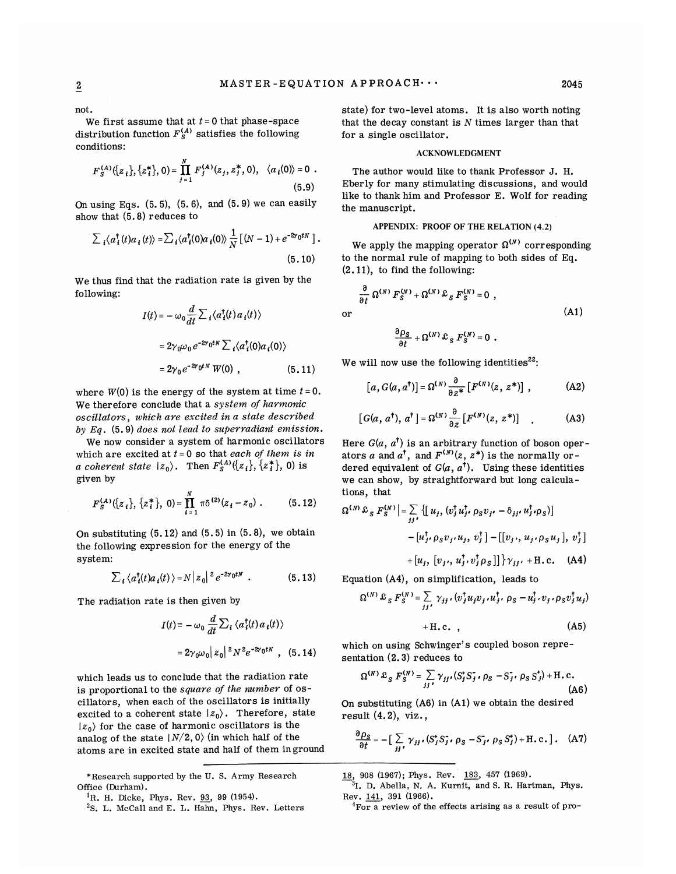01

not.

We first assume that at  $t = 0$  that phase-space distribution function  $F_S^{(A)}$  satisfies the following conditions:

$$
F_{S}^{(A)}(\lbrace z_{i} \rbrace, \lbrace z_{i}^{*} \rbrace, 0) = \prod_{j=1}^{N} F_{j}^{(A)}(z_{j}, z_{j}^{*}, 0), \quad \langle a_{i}(0) \rangle = 0
$$
 (5.9)

On using Eqs.  $(5.5)$ ,  $(5.6)$ , and  $(5.9)$  we can easily show that  $(5.8)$  reduces to

$$
\sum_i \langle a_i^{\dagger}(t) a_i(t) \rangle = \sum_i \langle a_i^{\dagger}(0) a_i(0) \rangle \frac{1}{N} \left[ (N-1) + e^{-2\gamma_0 t N} \right].
$$
\n(5.10)

We thus find that the radiation rate is given by the following:

$$
I(t) = -\omega_0 \frac{d}{dt} \sum_i \langle a_i^{\dagger}(t) a_i(t) \rangle
$$
  
=  $2\gamma_0 \omega_0 e^{-2\gamma_0 t N} \sum_i \langle a_i^{\dagger}(0) a_i(0) \rangle$   
=  $2\gamma_0 e^{-2\gamma_0 t N} W(0)$ , (5.11)

where  $W(0)$  is the energy of the system at time  $t = 0$ . We therefore conclude that a system of harmonic oscillators, which are excited in a state described by Eq. (5.9) does not lead to superradiant emission.

We now consider a system of harmonic oscillators which are excited at  $t = 0$  so that each of them is in a coherent state  $|z_0\rangle$ . Then  $F_s^{(A)}(\{z_i\}, \{z_i^*\}, 0)$  is given by

$$
F_{S}^{(A)}(\lbrace z_{i}\rbrace,\lbrace z_{i}^{*}\rbrace, 0)=\prod_{i=1}^{N}\pi\delta^{(2)}(z_{i}-z_{0}) . \qquad (5.12)
$$

On substituting  $(5.12)$  and  $(5.5)$  in  $(5.8)$ , we obtain the following expression for the energy of the system:

$$
\sum_i \langle a_i^{\dagger}(t) a_i(t) \rangle = N |z_0|^2 e^{-2\gamma_0 t N} . \qquad (5.13)
$$

The radiation rate is then given by

$$
I(t) = -\omega_0 \frac{d}{dt} \sum_i \langle a_i^{\dagger}(t) a_i(t) \rangle
$$

$$
= 2\gamma_0 \omega_0 |z_0|^2 N^2 e^{-2\gamma_0 t N}, \quad (5.14)
$$

mhich leads us to conclude that the radiation rate is proportional to the *square of the number* of oscillators, when each of the oscillators is initially excited to a coherent state  $|z_0\rangle$ . Therefore, state  $|z_0\rangle$  for the case of harmonic oscillators is the analog of the state  $|N/2, 0\rangle$  (in which half of the atoms are in excited state and half of them in ground

\*Research supported by the U. S. Army Research Office (Durham).

state) for two-level atoms. It is also worth noting that the decay constant is  $N$  times larger than that for a single oscillator.

#### ACKNOWLEDGMENT

The author mould like to thank Professor J. H. Eberly for many stimulating discussions, and would like to thank him and Professor E. Wolf for reading the manuscript.

## APPENDIX: PROOF OF THE RELATION (4.2)

We apply the mapping operator  $\boldsymbol{\Omega}^{(N)}$  correspondin to the normal rule of mapping to both sides of Eq. (2.ll), to find the following:

$$
\frac{\partial}{\partial t} \Omega^{(N)} F_S^{(N)} + \Omega^{(N)} \mathcal{L}_S F_S^{(N)} = 0 ,
$$
\n(A1)\n
$$
\frac{\partial \rho_S}{\partial t} + \Omega^{(N)} \mathcal{L}_S F_S^{(N)} = 0 .
$$

We will now use the following identities<sup>22</sup>:

$$
[a, G(a, a^{\dagger})] = \Omega^{(N)} \frac{\partial}{\partial z^*} [F^{(N)}(z, z^*)], \qquad (A2)
$$

$$
[G(a, a^{\dagger}), a^{\dagger}] = \Omega^{(N)} \frac{\partial}{\partial z} [F^{(N)}(z, z^*)]
$$
 (A3)

Here  $G(a, a^{\dagger})$  is an arbitrary function of boson operators a and  $a^{\dagger}$ , and  $F^{(N)}(z, z^*)$  is the normally ordered equivalent of  $G(a, a^{\dagger})$ . Using these identities we can show, by straightforward but long calculations, that

$$
\Omega^{(N)} \mathcal{L}_S F_S^{(N)} \Big| = \sum_{jj'} \left\{ \left[ u_j, \left( v_j^{\dagger} u_j^{\dagger}, \rho_S v_{j'} - \delta_{jj'} u_j^{\dagger} \cdot \rho_S \right) \right] - \left[ u_j^{\dagger}, \rho_S v_j, u_j, v_j^{\dagger} \right] - \left[ \left[ v_j, u_j, \rho_S u_j \right], v_j^{\dagger} \right] + \left[ u_j, \left[ v_j, u_j^{\dagger}, v_j^{\dagger} \rho_S \right] \right] \right\} \gamma_{jj'} + \text{H.c.} \quad \text{(A4)}
$$

Equation  $(A4)$ , on simplification, leads to

$$
\Omega^{(N)} \mathcal{L}_S F_S^{(N)} = \sum_{jj'} \gamma_{jj'} \cdot (v_j^{\dagger} u_j v_j u_j^{\dagger} \cdot \rho_S - u_j^{\dagger} \cdot v_j \cdot \rho_S v_j^{\dagger} u_j)
$$
  
\n
$$
I(t) \equiv -\omega_0 \frac{d}{dt} \sum_i \langle a_i^{\dagger}(t) a_i(t) \rangle
$$
\n
$$
+ \text{H.c.} \tag{A5}
$$

which on using Schwinger's coupled boson representation  $(2,3)$  reduces to

$$
\Omega^{(N)} \mathcal{L}_S F_S^{(N)} = \sum_{jj'} \gamma_{jj'} (S_j^{\dagger} S_j^{\dagger}, \rho_S - S_{j'}^{\dagger}, \rho_S S_j^{\dagger}) + \text{H.c.}
$$
\n(A6)

On substituting (A6) in (Al) we obtain the desired result (4.2), viz. ,

$$
\frac{\partial \rho_S}{\partial t} = -\big[\sum_{jj'} \gamma_{jj'}(S_j^* S_j^*, \rho_S - S_{j'}^*, \rho_S S_j^*) + \text{H.c.}\big]. \quad \text{(A7)}
$$

18, 908 (1967); Phys. Rev. 183, 457 (1969).

<sup>3</sup>I. D. Abella, N. A. Kurnit, and S. R. Hartman, Phys. Bev. 141, 391 (1966).

 ${}^{4}$ For a review of the effects arising as a result of pro-

<sup>&</sup>lt;sup>1</sup>R. H. Dicke, Phys. Rev.  $93, 99$  (1954).

<sup>&</sup>lt;sup>2</sup>S. L. McCall and E. L. Hahn, Phys. Rev. Letters